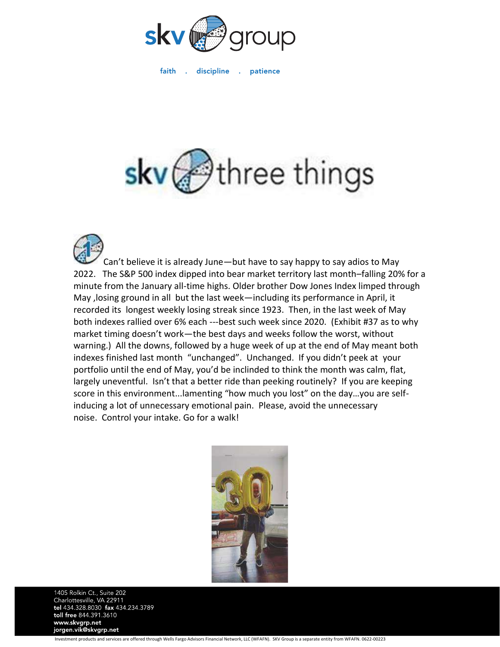

faith . discipline . patience

## skv@three things

Can't believe it is already June—but have to say happy to say adios to May 2022. The S&P 500 index dipped into bear market territory last month–falling 20% for a minute from the January all-time highs. Older brother Dow Jones Index limped through May ,losing ground in all but the last week—including its performance in April, it recorded its longest weekly losing streak since 1923. Then, in the last week of May both indexes rallied over 6% each ---best such week since 2020. (Exhibit #37 as to why market timing doesn't work—the best days and weeks follow the worst, without warning.) All the downs, followed by a huge week of up at the end of May meant both indexes finished last month "unchanged". Unchanged. If you didn't peek at your portfolio until the end of May, you'd be inclinded to think the month was calm, flat, largely uneventful. Isn't that a better ride than peeking routinely? If you are keeping score in this environment...lamenting "how much you lost" on the day…you are selfinducing a lot of unnecessary emotional pain. Please, avoid the unnecessary noise. Control your intake. Go for a walk!



1405 Rolkin Ct., Suite 202 Charlottesville, VA 22911<br>tel 434.328.8030 fax 434.234.3789 toll free 844.391.3610 www.skvgrp.net jorgen.vik@skvgrp.net

Investment products and services are offered through Wells Fargo Advisors Financial Network, LLC (WFAFN). SKV Group is a separate entity from WFAFN. 0622-00223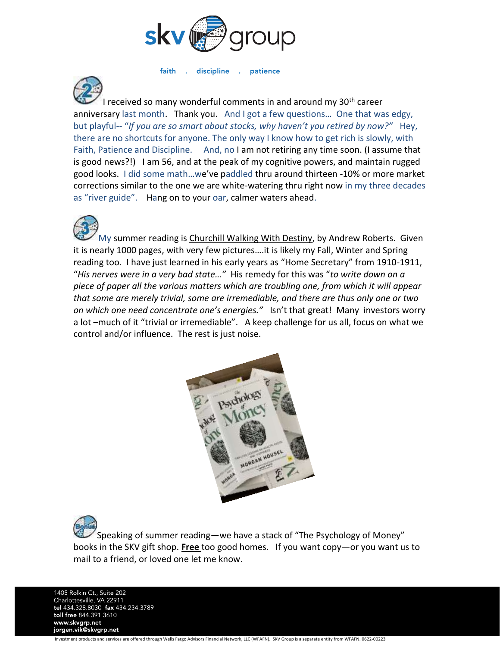

faith discipline .  $\sim$ patience



I received so many wonderful comments in and around my 30<sup>th</sup> career anniversary last month. Thank you. And I got a few questions… One that was edgy, but playful-- "*If you are so smart about stocks, why haven't you retired by now?"* Hey, there are no shortcuts for anyone. The only way I know how to get rich is slowly, with Faith, Patience and Discipline. And, no I am not retiring any time soon. (I assume that is good news?!) I am 56, and at the peak of my cognitive powers, and maintain rugged good looks. I did some math…we've paddled thru around thirteen -10% or more market corrections similar to the one we are white-watering thru right now in my three decades as "river guide". Hang on to your oar, calmer waters ahead.



My summer reading is Churchill Walking With Destiny, by Andrew Roberts. Given it is nearly 1000 pages, with very few pictures….it is likely my Fall, Winter and Spring reading too. I have just learned in his early years as "Home Secretary" from 1910-1911, "*His nerves were in a very bad state…"* His remedy for this was "*to write down on a piece of paper all the various matters which are troubling one, from which it will appear that some are merely trivial, some are irremediable, and there are thus only one or two on which one need concentrate one's energies."* Isn't that great! Many investors worry a lot –much of it "trivial or irremediable". A keep challenge for us all, focus on what we control and/or influence. The rest is just noise.



Speaking of summer reading—we have a stack of "The Psychology of Money" books in the SKV gift shop. **Free** too good homes. If you want copy—or you want us to mail to a friend, or loved one let me know.

1405 Rolkin Ct., Suite 202 Charlottesville, VA 22911<br>tel 434.328.8030 fax 434.234.3789 toll free 844.391.3610 www.skvgrp.net jorgen.vik@skvgrp.net

Investment products and services are offered through Wells Fargo Advisors Financial Network, LLC (WFAFN). SKV Group is a separate entity from WFAFN. 0622-00223